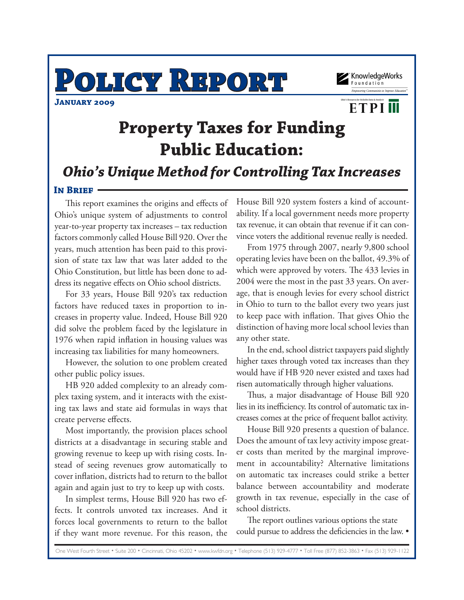**POLICY REPORT**





**ETPIM** 

# **Property Taxes for Funding Public Education:**

*Ohio's Unique Method for Controlling Tax Increases*

#### **IN BRIEF**

This report examines the origins and effects of Ohio's unique system of adjustments to control year-to-year property tax increases – tax reduction factors commonly called House Bill 920. Over the years, much attention has been paid to this provision of state tax law that was later added to the Ohio Constitution, but little has been done to address its negative effects on Ohio school districts.

For 33 years, House Bill 920's tax reduction factors have reduced taxes in proportion to increases in property value. Indeed, House Bill 920 did solve the problem faced by the legislature in 1976 when rapid inflation in housing values was increasing tax liabilities for many homeowners.

However, the solution to one problem created other public policy issues.

HB 920 added complexity to an already complex taxing system, and it interacts with the existing tax laws and state aid formulas in ways that create perverse effects.

Most importantly, the provision places school districts at a disadvantage in securing stable and growing revenue to keep up with rising costs. Instead of seeing revenues grow automatically to cover inflation, districts had to return to the ballot again and again just to try to keep up with costs.

In simplest terms, House Bill 920 has two effects. It controls unvoted tax increases. And it forces local governments to return to the ballot if they want more revenue. For this reason, the

House Bill 920 system fosters a kind of accountability. If a local government needs more property tax revenue, it can obtain that revenue if it can convince voters the additional revenue really is needed.

From 1975 through 2007, nearly 9,800 school operating levies have been on the ballot, 49.3% of which were approved by voters. The 433 levies in 2004 were the most in the past 33 years. On average, that is enough levies for every school district in Ohio to turn to the ballot every two years just to keep pace with inflation. That gives Ohio the distinction of having more local school levies than any other state.

In the end, school district taxpayers paid slightly higher taxes through voted tax increases than they would have if HB 920 never existed and taxes had risen automatically through higher valuations.

Thus, a major disadvantage of House Bill 920 lies in its inefficiency. Its control of automatic tax increases comes at the price of frequent ballot activity.

House Bill 920 presents a question of balance. Does the amount of tax levy activity impose greater costs than merited by the marginal improvement in accountability? Alternative limitations on automatic tax increases could strike a better balance between accountability and moderate growth in tax revenue, especially in the case of school districts.

The report outlines various options the state could pursue to address the deficiencies in the law. •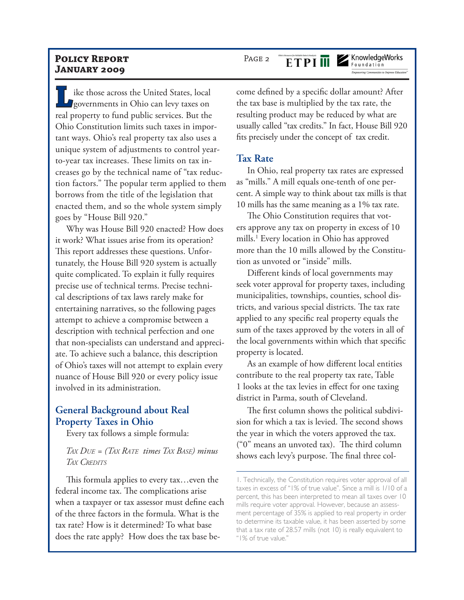ILI ike those across the United States, local<br>governments in Ohio can levy taxes on<br>real property to find public corriece. But the governments in Ohio can levy taxes on real property to fund public services. But the Ohio Constitution limits such taxes in important ways. Ohio's real property tax also uses a unique system of adjustments to control yearto-year tax increases. These limits on tax increases go by the technical name of "tax reduction factors." The popular term applied to them borrows from the title of the legislation that enacted them, and so the whole system simply goes by "House Bill 920."

Why was House Bill 920 enacted? How does it work? What issues arise from its operation? This report addresses these questions. Unfortunately, the House Bill 920 system is actually quite complicated. To explain it fully requires precise use of technical terms. Precise technical descriptions of tax laws rarely make for entertaining narratives, so the following pages attempt to achieve a compromise between a description with technical perfection and one that non-specialists can understand and appreciate. To achieve such a balance, this description of Ohio's taxes will not attempt to explain every nuance of House Bill 920 or every policy issue involved in its administration.

## **General Background about Real Property Taxes in Ohio**

Every tax follows a simple formula:

*TAX DUE = (TAX RATE times TAX BASE) minus TAX CREDITS*

This formula applies to every tax…even the federal income tax. The complications arise when a taxpayer or tax assessor must define each of the three factors in the formula. What is the tax rate? How is it determined? To what base does the rate apply? How does the tax base become defined by a specific dollar amount? After the tax base is multiplied by the tax rate, the resulting product may be reduced by what are usually called "tax credits." In fact, House Bill 920 fits precisely under the concept of tax credit.

#### **Tax Rate**

In Ohio, real property tax rates are expressed as "mills." A mill equals one-tenth of one percent. A simple way to think about tax mills is that 10 mills has the same meaning as a 1% tax rate.

The Ohio Constitution requires that voters approve any tax on property in excess of 10 mills.<sup>1</sup> Every location in Ohio has approved more than the 10 mills allowed by the Constitution as unvoted or "inside" mills.

Different kinds of local governments may seek voter approval for property taxes, including municipalities, townships, counties, school districts, and various special districts. The tax rate applied to any specific real property equals the sum of the taxes approved by the voters in all of the local governments within which that specific property is located.

As an example of how different local entities contribute to the real property tax rate, Table 1 looks at the tax levies in effect for one taxing district in Parma, south of Cleveland.

The first column shows the political subdivision for which a tax is levied. The second shows the year in which the voters approved the tax. ("0" means an unvoted tax). The third column shows each levy's purpose. The final three col-

PAGE<sub>2</sub> **ETPI II** 

# KnowledgeWorks

Foundation **Empowering Communities to Improve Education** 

<sup>1.</sup> Technically, the Constitution requires voter approval of all taxes in excess of "1% of true value". Since a mill is 1/10 of a percent, this has been interpreted to mean all taxes over 10 mills require voter approval. However, because an assessment percentage of 35% is applied to real property in order to determine its taxable value, it has been asserted by some that a tax rate of 28.57 mills (not 10) is really equivalent to "1% of true value."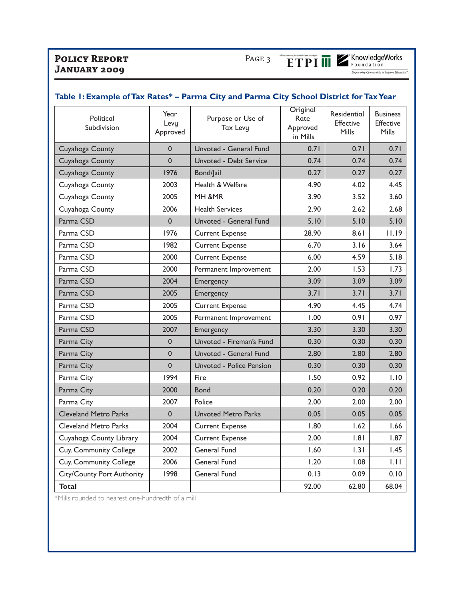**ETPI III** Z'KnowledgeWorks

| Political<br>Subdivision          | Year<br>Levy<br>Approved | Purpose or Use of<br>Tax Levy | Original<br>Rate<br>Approved<br>in Mills | Residential<br>Effective<br><b>Mills</b> | <b>Business</b><br>Effective<br>Mills |
|-----------------------------------|--------------------------|-------------------------------|------------------------------------------|------------------------------------------|---------------------------------------|
| Cuyahoga County                   | $\mathbf{0}$             | Unvoted - General Fund        | 0.71                                     | 0.71                                     | 0.71                                  |
| Cuyahoga County                   | $\overline{0}$           | Unvoted - Debt Service        | 0.74                                     | 0.74                                     | 0.74                                  |
| Cuyahoga County                   | 1976                     | Bond/Jail                     | 0.27                                     | 0.27                                     | 0.27                                  |
| Cuyahoga County                   | 2003                     | Health & Welfare              | 4.90                                     | 4.02                                     | 4.45                                  |
| Cuyahoga County                   | 2005                     | MH &MR                        | 3.90                                     | 3.52                                     | 3.60                                  |
| Cuyahoga County                   | 2006                     | <b>Health Services</b>        | 2.90                                     | 2.62                                     | 2.68                                  |
| Parma CSD                         | $\mathbf{0}$             | Unvoted - General Fund        | 5.10                                     | 5.10                                     | 5.10                                  |
| Parma CSD                         | 1976                     | <b>Current Expense</b>        | 28.90                                    | 8.61                                     | 11.19                                 |
| Parma CSD                         | 1982                     | <b>Current Expense</b>        | 6.70                                     | 3.16                                     | 3.64                                  |
| Parma CSD                         | 2000                     | <b>Current Expense</b>        | 6.00                                     | 4.59                                     | 5.18                                  |
| Parma CSD                         | 2000                     | Permanent Improvement         | 2.00                                     | 1.53                                     | 1.73                                  |
| Parma CSD                         | 2004                     | Emergency                     | 3.09                                     | 3.09                                     | 3.09                                  |
| Parma CSD                         | 2005                     | Emergency                     | 3.71                                     | 3.71                                     | 3.71                                  |
| Parma CSD                         | 2005                     | <b>Current Expense</b>        | 4.90                                     | 4.45                                     | 4.74                                  |
| Parma CSD                         | 2005                     | Permanent Improvement         | 1.00                                     | 0.91                                     | 0.97                                  |
| Parma CSD                         | 2007                     | Emergency                     | 3.30                                     | 3.30                                     | 3.30                                  |
| Parma City                        | 0                        | Unvoted - Fireman's Fund      | 0.30                                     | 0.30                                     | 0.30                                  |
| Parma City                        | $\overline{0}$           | Unvoted - General Fund        | 2.80                                     | 2.80                                     | 2.80                                  |
| Parma City                        | $\mathbf 0$              | Unvoted - Police Pension      | 0.30                                     | 0.30                                     | 0.30                                  |
| Parma City                        | 1994                     | Fire                          | 1.50                                     | 0.92                                     | 1.10                                  |
| Parma City                        | 2000                     | <b>Bond</b>                   | 0.20                                     | 0.20                                     | 0.20                                  |
| Parma City                        | 2007                     | Police                        | 2.00                                     | 2.00                                     | 2.00                                  |
| <b>Cleveland Metro Parks</b>      | $\mathbf{0}$             | <b>Unvoted Metro Parks</b>    | 0.05                                     | 0.05                                     | 0.05                                  |
| <b>Cleveland Metro Parks</b>      | 2004                     | <b>Current Expense</b>        | 1.80                                     | 1.62                                     | 1.66                                  |
| Cuyahoga County Library           | 2004                     | <b>Current Expense</b>        | 2.00                                     | 1.81                                     | 1.87                                  |
| Cuy. Community College            | 2002                     | General Fund                  | 1.60                                     | 1.31                                     | 1.45                                  |
| Cuy. Community College            | 2006                     | General Fund                  | 1.20                                     | 0.1                                      | 1.11                                  |
| <b>City/County Port Authority</b> | 1998                     | General Fund                  | 0.13                                     | 0.09                                     | 0.10                                  |
| <b>Total</b>                      |                          |                               | 92.00                                    | 62.80                                    | 68.04                                 |

#### **Table 1: Example of Tax Rates\* – Parma City and Parma City School District for Tax Year**

\*Mills rounded to nearest one-hundredth of a mill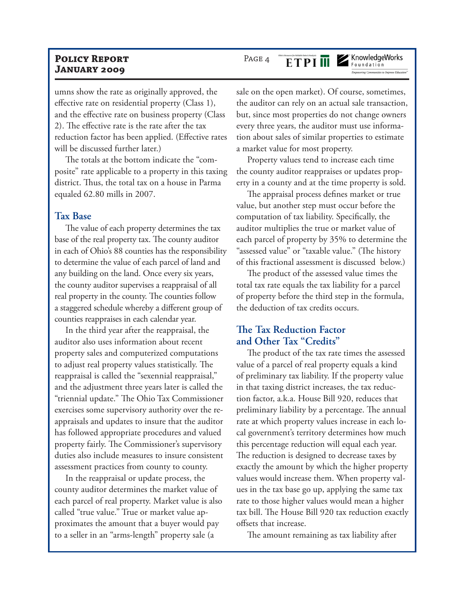umns show the rate as originally approved, the effective rate on residential property (Class 1), and the effective rate on business property (Class 2). The effective rate is the rate after the tax reduction factor has been applied. (Effective rates will be discussed further later.)

The totals at the bottom indicate the "composite" rate applicable to a property in this taxing district. Thus, the total tax on a house in Parma equaled 62.80 mills in 2007.

#### **Tax Base**

The value of each property determines the tax base of the real property tax. The county auditor in each of Ohio's 88 counties has the responsibility to determine the value of each parcel of land and any building on the land. Once every six years, the county auditor supervises a reappraisal of all real property in the county. The counties follow a staggered schedule whereby a different group of counties reappraises in each calendar year.

In the third year after the reappraisal, the auditor also uses information about recent property sales and computerized computations to adjust real property values statistically. The reappraisal is called the "sexennial reappraisal," and the adjustment three years later is called the "triennial update." The Ohio Tax Commissioner exercises some supervisory authority over the reappraisals and updates to insure that the auditor has followed appropriate procedures and valued property fairly. The Commissioner's supervisory duties also include measures to insure consistent assessment practices from county to county.

In the reappraisal or update process, the county auditor determines the market value of each parcel of real property. Market value is also called "true value." True or market value approximates the amount that a buyer would pay to a seller in an "arms-length" property sale (a

sale on the open market). Of course, sometimes, the auditor can rely on an actual sale transaction, but, since most properties do not change owners every three years, the auditor must use information about sales of similar properties to estimate a market value for most property.

Property values tend to increase each time the county auditor reappraises or updates property in a county and at the time property is sold.

The appraisal process defines market or true value, but another step must occur before the computation of tax liability. Specifically, the auditor multiplies the true or market value of each parcel of property by 35% to determine the "assessed value" or "taxable value." (The history of this fractional assessment is discussed below.)

The product of the assessed value times the total tax rate equals the tax liability for a parcel of property before the third step in the formula, the deduction of tax credits occurs.

#### **The Tax Reduction Factor and Other Tax "Credits"**

The product of the tax rate times the assessed value of a parcel of real property equals a kind of preliminary tax liability. If the property value in that taxing district increases, the tax reduction factor, a.k.a. House Bill 920, reduces that preliminary liability by a percentage. The annual rate at which property values increase in each local government's territory determines how much this percentage reduction will equal each year. The reduction is designed to decrease taxes by exactly the amount by which the higher property values would increase them. When property values in the tax base go up, applying the same tax rate to those higher values would mean a higher tax bill. The House Bill 920 tax reduction exactly offsets that increase.

The amount remaining as tax liability after

KnowledgeWorks

## **ETPIM**

PAGE 4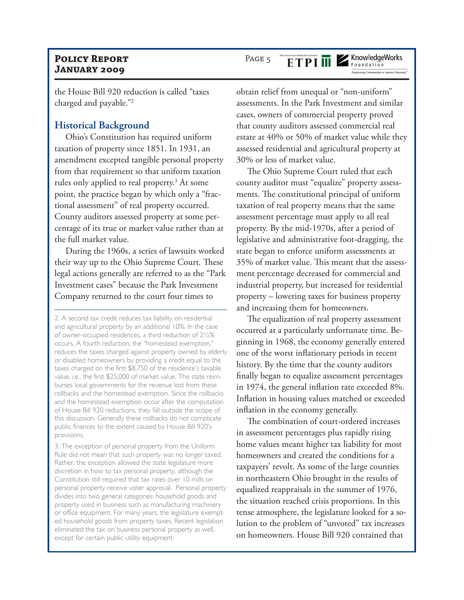the House Bill 920 reduction is called "taxes charged and payable."<sup>2</sup>

#### **Historical Background**

Ohio's Constitution has required uniform taxation of property since 1851. In 1931, an amendment excepted tangible personal property from that requirement so that uniform taxation rules only applied to real property.<sup>3</sup> At some point, the practice began by which only a "fractional assessment" of real property occurred. County auditors assessed property at some percentage of its true or market value rather than at the full market value.

During the 1960s, a series of lawsuits worked their way up to the Ohio Supreme Court. These legal actions generally are referred to as the "Park Investment cases" because the Park Investment Company returned to the court four times to

3. The exception of personal property from the Uniform Rule did not mean that such property was no longer taxed. Rather, the exception allowed the state legislature more discretion in how to tax personal property, although the Constitution still required that tax rates over 10 mills on personal property receive voter approval. Personal property divides into two general categories: household goods and property used in business such as manufacturing machinery or office equipment. For many years, the legislature exempted household goods from property taxes. Recent legislation eliminated the tax on business personal property as well, except for certain public utility equipment.

obtain relief from unequal or "non-uniform" assessments. In the Park Investment and similar cases, owners of commercial property proved that county auditors assessed commercial real estate at 40% or 50% of market value while they assessed residential and agricultural property at 30% or less of market value.

The Ohio Supreme Court ruled that each county auditor must "equalize" property assessments. The constitutional principal of uniform taxation of real property means that the same assessment percentage must apply to all real property. By the mid-1970s, after a period of legislative and administrative foot-dragging, the state began to enforce uniform assessments at 35% of market value. This meant that the assessment percentage decreased for commercial and industrial property, but increased for residential property – lowering taxes for business property and increasing them for homeowners.

The equalization of real property assessment occurred at a particularly unfortunate time. Beginning in 1968, the economy generally entered one of the worst inflationary periods in recent history. By the time that the county auditors finally began to equalize assessment percentages in 1974, the general inflation rate exceeded 8%. Inflation in housing values matched or exceeded inflation in the economy generally.

The combination of court-ordered increases in assessment percentages plus rapidly rising home values meant higher tax liability for most homeowners and created the conditions for a taxpayers' revolt. As some of the large counties in northeastern Ohio brought in the results of equalized reappraisals in the summer of 1976, the situation reached crisis proportions. In this tense atmosphere, the legislature looked for a solution to the problem of "unvoted" tax increases on homeowners. House Bill 920 contained that

**ETPI III** 

PAGE 5

#### KnowledgeWorks Foundation

**Empowering Communities to Improve Education** 

<sup>2.</sup> A second tax credit reduces tax liability on residential and agricultural property by an additional 10%. In the case of owner-occupied residences, a third reduction of 2½% occurs. A fourth reduction, the "homestead exemption," reduces the taxes charged against property owned by elderly or disabled homeowners by providing a credit equal to the taxes charged on the first \$8,750 of the residence's taxable value, i.e., the first \$25,000 of market value. The state reimburses local governments for the revenue lost from these rollbacks and the homestead exemption. Since the rollbacks and the homestead exemption occur after the computation of House Bill 920 reductions, they fall outside the scope of this discussion. Generally these rollbacks do not complicate public finances to the extent caused by House Bill 920's provisions.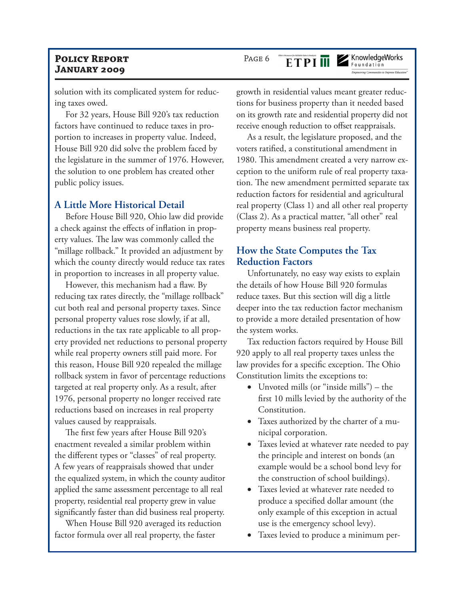solution with its complicated system for reducing taxes owed.

For 32 years, House Bill 920's tax reduction factors have continued to reduce taxes in proportion to increases in property value. Indeed, House Bill 920 did solve the problem faced by the legislature in the summer of 1976. However, the solution to one problem has created other public policy issues.

#### **A Little More Historical Detail**

Before House Bill 920, Ohio law did provide a check against the effects of inflation in property values. The law was commonly called the "millage rollback." It provided an adjustment by which the county directly would reduce tax rates in proportion to increases in all property value.

However, this mechanism had a flaw. By reducing tax rates directly, the "millage rollback" cut both real and personal property taxes. Since personal property values rose slowly, if at all, reductions in the tax rate applicable to all property provided net reductions to personal property while real property owners still paid more. For this reason, House Bill 920 repealed the millage rollback system in favor of percentage reductions targeted at real property only. As a result, after 1976, personal property no longer received rate reductions based on increases in real property values caused by reappraisals.

The first few years after House Bill 920's enactment revealed a similar problem within the different types or "classes" of real property. A few years of reappraisals showed that under the equalized system, in which the county auditor applied the same assessment percentage to all real property, residential real property grew in value significantly faster than did business real property.

When House Bill 920 averaged its reduction factor formula over all real property, the faster

PAGE 6 **ETPI III**  KnowledgeWorks

growth in residential values meant greater reductions for business property than it needed based on its growth rate and residential property did not receive enough reduction to offset reappraisals.

As a result, the legislature proposed, and the voters ratified, a constitutional amendment in 1980. This amendment created a very narrow exception to the uniform rule of real property taxation. The new amendment permitted separate tax reduction factors for residential and agricultural real property (Class 1) and all other real property (Class 2). As a practical matter, "all other" real property means business real property.

### **How the State Computes the Tax Reduction Factors**

Unfortunately, no easy way exists to explain the details of how House Bill 920 formulas reduce taxes. But this section will dig a little deeper into the tax reduction factor mechanism to provide a more detailed presentation of how the system works.

Tax reduction factors required by House Bill 920 apply to all real property taxes unless the law provides for a specific exception. The Ohio Constitution limits the exceptions to:

- Unvoted mills (or "inside mills") the first 10 mills levied by the authority of the Constitution.
- Taxes authorized by the charter of a municipal corporation.
- Taxes levied at whatever rate needed to pay the principle and interest on bonds (an example would be a school bond levy for the construction of school buildings).
- Taxes levied at whatever rate needed to produce a specified dollar amount (the only example of this exception in actual use is the emergency school levy).
- Taxes levied to produce a minimum per-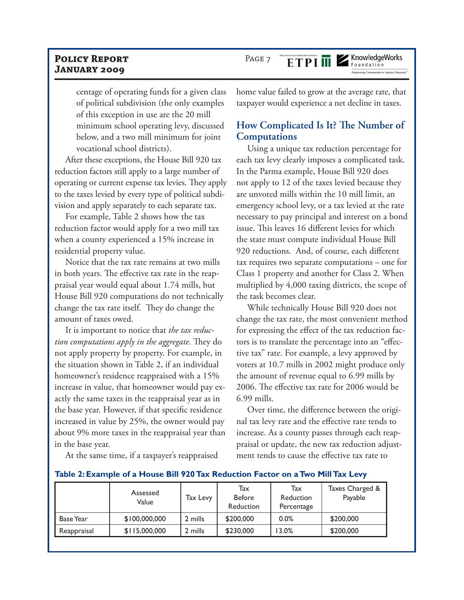PAGE 7

ETPI ME Foundation

centage of operating funds for a given class of political subdivision (the only examples of this exception in use are the 20 mill minimum school operating levy, discussed below, and a two mill minimum for joint vocational school districts).

After these exceptions, the House Bill 920 tax reduction factors still apply to a large number of operating or current expense tax levies. They apply to the taxes levied by every type of political subdivision and apply separately to each separate tax.

For example, Table 2 shows how the tax reduction factor would apply for a two mill tax when a county experienced a 15% increase in residential property value.

Notice that the tax rate remains at two mills in both years. The effective tax rate in the reappraisal year would equal about 1.74 mills, but House Bill 920 computations do not technically change the tax rate itself. They do change the amount of taxes owed.

It is important to notice that *the tax reduction computations apply in the aggregate*. They do not apply property by property. For example, in the situation shown in Table 2, if an individual homeowner's residence reappraised with a 15% increase in value, that homeowner would pay exactly the same taxes in the reappraisal year as in the base year. However, if that specific residence increased in value by 25%, the owner would pay about 9% more taxes in the reappraisal year than in the base year.

home value failed to grow at the average rate, that taxpayer would experience a net decline in taxes.

## **How Complicated Is It? The Number of Computations**

Using a unique tax reduction percentage for each tax levy clearly imposes a complicated task. In the Parma example, House Bill 920 does not apply to 12 of the taxes levied because they are unvoted mills within the 10 mill limit, an emergency school levy, or a tax levied at the rate necessary to pay principal and interest on a bond issue. This leaves 16 different levies for which the state must compute individual House Bill 920 reductions. And, of course, each different tax requires two separate computations – one for Class 1 property and another for Class 2. When multiplied by 4,000 taxing districts, the scope of the task becomes clear.

While technically House Bill 920 does not change the tax rate, the most convenient method for expressing the effect of the tax reduction factors is to translate the percentage into an "effective tax" rate. For example, a levy approved by voters at 10.7 mills in 2002 might produce only the amount of revenue equal to 6.99 mills by 2006. The effective tax rate for 2006 would be 6.99 mills.

Over time, the difference between the original tax levy rate and the effective rate tends to increase. As a county passes through each reappraisal or update, the new tax reduction adjustment tends to cause the effective tax rate to

At the same time, if a taxpayer's reappraised

|             | Assessed<br>Value | Tax Levy | Tax<br><b>Before</b><br>Reduction | Tax<br>Reduction<br>Percentage | Taxes Charged &<br>Payable |
|-------------|-------------------|----------|-----------------------------------|--------------------------------|----------------------------|
| Base Year   | \$100,000,000     | 2 mills  | \$200,000                         | 0.0%                           | \$200,000                  |
| Reappraisal | \$115,000,000     | 2 mills  | \$230,000                         | 13.0%                          | \$200,000                  |

**Table 2: Example of a House Bill 920 Tax Reduction Factor on a Two Mill Tax Levy**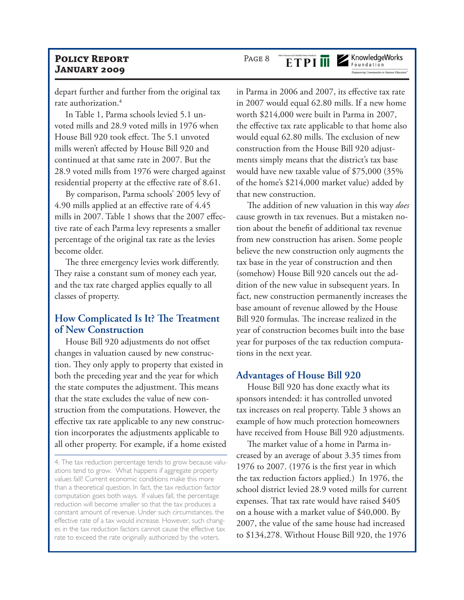depart further and further from the original tax rate authorization.<sup>4</sup>

In Table 1, Parma schools levied 5.1 unvoted mills and 28.9 voted mills in 1976 when House Bill 920 took effect. The 5.1 unvoted mills weren't affected by House Bill 920 and continued at that same rate in 2007. But the 28.9 voted mills from 1976 were charged against residential property at the effective rate of 8.61.

By comparison, Parma schools' 2005 levy of 4.90 mills applied at an effective rate of 4.45 mills in 2007. Table 1 shows that the 2007 effective rate of each Parma levy represents a smaller percentage of the original tax rate as the levies become older.

The three emergency levies work differently. They raise a constant sum of money each year, and the tax rate charged applies equally to all classes of property.

## **How Complicated Is It? The Treatment of New Construction**

House Bill 920 adjustments do not offset changes in valuation caused by new construction. They only apply to property that existed in both the preceding year and the year for which the state computes the adjustment. This means that the state excludes the value of new construction from the computations. However, the effective tax rate applicable to any new construction incorporates the adjustments applicable to all other property. For example, if a home existed

4. The tax reduction percentage tends to grow because valuations tend to grow. What happens if aggregate property values fall? Current economic conditions make this more than a theoretical question. In fact, the tax reduction factor computation goes both ways. If values fall, the percentage reduction will become smaller so that the tax produces a constant amount of revenue. Under such circumstances, the effective rate of a tax would increase. However, such changes in the tax reduction factors cannot cause the effective tax rate to exceed the rate originally authorized by the voters.

#### PAGE 8 **ETPIM**

KnowledgeWorks Foundation

**Empowering Communities to Improve Educatio** 

in Parma in 2006 and 2007, its effective tax rate in 2007 would equal 62.80 mills. If a new home worth \$214,000 were built in Parma in 2007, the effective tax rate applicable to that home also would equal 62.80 mills. The exclusion of new construction from the House Bill 920 adjustments simply means that the district's tax base would have new taxable value of \$75,000 (35% of the home's \$214,000 market value) added by that new construction.

The addition of new valuation in this way *does*  cause growth in tax revenues. But a mistaken notion about the benefit of additional tax revenue from new construction has arisen. Some people believe the new construction only augments the tax base in the year of construction and then (somehow) House Bill 920 cancels out the addition of the new value in subsequent years. In fact, new construction permanently increases the base amount of revenue allowed by the House Bill 920 formulas. The increase realized in the year of construction becomes built into the base year for purposes of the tax reduction computations in the next year.

#### **Advantages of House Bill 920**

House Bill 920 has done exactly what its sponsors intended: it has controlled unvoted tax increases on real property. Table 3 shows an example of how much protection homeowners have received from House Bill 920 adjustments.

The market value of a home in Parma increased by an average of about 3.35 times from 1976 to 2007. (1976 is the first year in which the tax reduction factors applied.) In 1976, the school district levied 28.9 voted mills for current expenses. That tax rate would have raised \$405 on a house with a market value of \$40,000. By 2007, the value of the same house had increased to \$134,278. Without House Bill 920, the 1976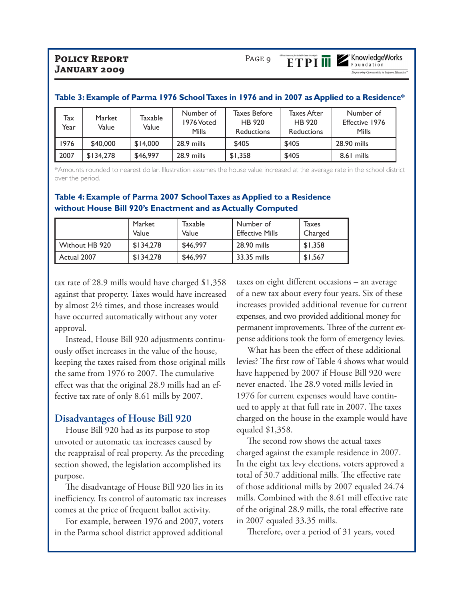.<br>Empowering Communities to Improve Educatio

|             | Table 3. Example 011 anna 1770 School Taxes in 1770 and in 2007 as Applied to a Residence |                  |                                  |                                                    |                                            |                                      |  |
|-------------|-------------------------------------------------------------------------------------------|------------------|----------------------------------|----------------------------------------------------|--------------------------------------------|--------------------------------------|--|
| Tax<br>Year | Market<br>Value                                                                           | Taxable<br>Value | Number of<br>1976 Voted<br>Mills | <b>Taxes Before</b><br>HB 920<br><b>Reductions</b> | Taxes After<br>HB 920<br><b>Reductions</b> | Number of<br>Effective 1976<br>Mills |  |
| 1976        | \$40,000                                                                                  | \$14,000         | 28.9 mills                       | \$405                                              | \$405                                      | 28.90 mills                          |  |
| 2007        | \$134,278                                                                                 | \$46,997         | 28.9 mills                       | \$1,358                                            | \$405                                      | 8.61 mills                           |  |

#### of Parma 1976 School Taxes in 1976 and in 2007 as Applied to

\*Amounts rounded to nearest dollar. Illustration assumes the house value increased at the average rate in the school district over the period.

#### **Table 4: Example of Parma 2007 School Taxes as Applied to a Residence without House Bill 920's Enactment and as Actually Computed**

|                | Market<br>Value | Taxable<br>Value | Number of<br><b>Effective Mills</b> | Taxes<br>Charged |
|----------------|-----------------|------------------|-------------------------------------|------------------|
| Without HB 920 | \$134.278       | \$46,997         | 28.90 mills                         | \$1,358          |
| Actual 2007    | \$134.278       | \$46,997         | 33.35 mills                         | \$1,567          |

tax rate of 28.9 mills would have charged \$1,358 against that property. Taxes would have increased by almost 2½ times, and those increases would have occurred automatically without any voter approval.

Instead, House Bill 920 adjustments continuously offset increases in the value of the house, keeping the taxes raised from those original mills the same from 1976 to 2007. The cumulative effect was that the original 28.9 mills had an effective tax rate of only 8.61 mills by 2007.

#### **Disadvantages of House Bill 920**

House Bill 920 had as its purpose to stop unvoted or automatic tax increases caused by the reappraisal of real property. As the preceding section showed, the legislation accomplished its purpose.

The disadvantage of House Bill 920 lies in its inefficiency. Its control of automatic tax increases comes at the price of frequent ballot activity.

For example, between 1976 and 2007, voters in the Parma school district approved additional

taxes on eight different occasions – an average of a new tax about every four years. Six of these increases provided additional revenue for current expenses, and two provided additional money for permanent improvements. Three of the current expense additions took the form of emergency levies.

What has been the effect of these additional levies? The first row of Table 4 shows what would have happened by 2007 if House Bill 920 were never enacted. The 28.9 voted mills levied in 1976 for current expenses would have continued to apply at that full rate in 2007. The taxes charged on the house in the example would have equaled \$1,358.

The second row shows the actual taxes charged against the example residence in 2007. In the eight tax levy elections, voters approved a total of 30.7 additional mills. The effective rate of those additional mills by 2007 equaled 24.74 mills. Combined with the 8.61 mill effective rate of the original 28.9 mills, the total effective rate in 2007 equaled 33.35 mills.

Therefore, over a period of 31 years, voted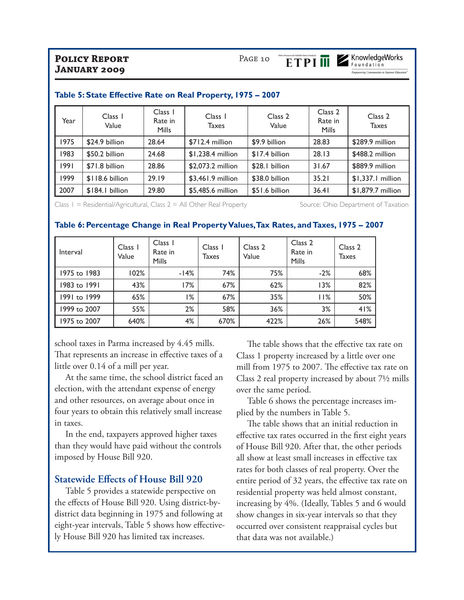

**Empowering Communities to Improve Education** 

| Year | Class 1<br>Value | Class 1<br>Rate in<br>Mills | Class 1<br><b>Taxes</b> | Class <sub>2</sub><br>Value | Class <sub>2</sub><br>Rate in<br>Mills | Class 2<br><b>Taxes</b> |
|------|------------------|-----------------------------|-------------------------|-----------------------------|----------------------------------------|-------------------------|
| 1975 | \$24.9 billion   | 28.64                       | $$712.4$ million        | \$9.9 billion               | 28.83                                  | \$289.9 million         |
| 1983 | \$50.2 billion   | 24.68                       | \$1,238.4 million       | \$17.4 billion              | 28.13                                  | \$488.2 million         |
| 1991 | \$71.8 billion   | 28.86                       | \$2,073.2 million       | \$28.1 billion              | 31.67                                  | \$889.9 million         |
| 1999 | $$118.6$ billion | 29.19                       | \$3,461.9 million       | \$38.0 billion              | 35.21                                  | $$1,337.1$ million      |
| 2007 | \$184.1 billion  | 29.80                       | \$5,485.6 million       | \$51.6 billion              | 36.41                                  | \$1,879.7 million       |

#### **Table 5: State Effective Rate on Real Property, 1975 – 2007**

Class 1 = Residential/Agricultural, Class 2 = All Other Real Property Source: Ohio Department of Taxation

#### **Table 6: Percentage Change in Real Property Values, Tax Rates, and Taxes, 1975 – 2007**

| Interval     | Class 1<br>Value | Class 1<br>Rate in<br><b>Mills</b> | Class 1<br>Taxes | Class <sub>2</sub><br>Value | Class 2<br>Rate in<br>Mills | Class 2<br>Taxes |
|--------------|------------------|------------------------------------|------------------|-----------------------------|-----------------------------|------------------|
| 1975 to 1983 | 102%             | $-14%$                             | 74%              | 75%                         | $-2%$                       | 68%              |
| 1983 to 1991 | 43%              | 17%                                | 67%              | 62%                         | 13%                         | 82%              |
| 1991 to 1999 | 65%              | %                                  | 67%              | 35%                         | 11%                         | 50%              |
| 1999 to 2007 | 55%              | 2%                                 | 58%              | 36%                         | 3%                          | 41%              |
| 1975 to 2007 | 640%             | 4%                                 | 670%             | 422%                        | 26%                         | 548%             |

school taxes in Parma increased by 4.45 mills. That represents an increase in effective taxes of a little over 0.14 of a mill per year.

At the same time, the school district faced an election, with the attendant expense of energy and other resources, on average about once in four years to obtain this relatively small increase in taxes.

In the end, taxpayers approved higher taxes than they would have paid without the controls imposed by House Bill 920.

#### **Statewide Effects of House Bill 920**

Table 5 provides a statewide perspective on the effects of House Bill 920. Using district-bydistrict data beginning in 1975 and following at eight-year intervals, Table 5 shows how effectively House Bill 920 has limited tax increases.

The table shows that the effective tax rate on Class 1 property increased by a little over one mill from 1975 to 2007. The effective tax rate on Class 2 real property increased by about 7½ mills over the same period.

Table 6 shows the percentage increases implied by the numbers in Table 5.

The table shows that an initial reduction in effective tax rates occurred in the first eight years of House Bill 920. After that, the other periods all show at least small increases in effective tax rates for both classes of real property. Over the entire period of 32 years, the effective tax rate on residential property was held almost constant, increasing by 4%. (Ideally, Tables 5 and 6 would show changes in six-year intervals so that they occurred over consistent reappraisal cycles but that data was not available.)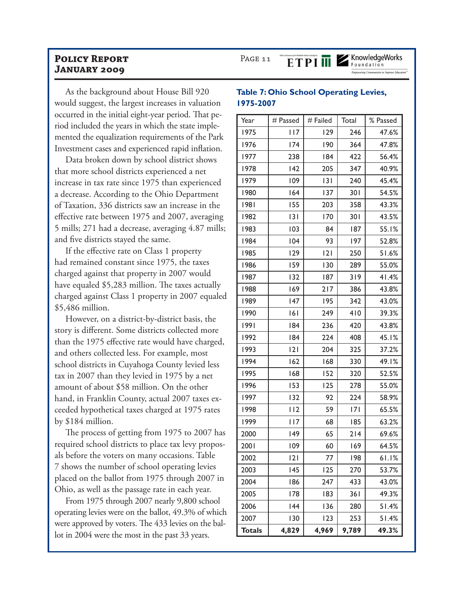As the background about House Bill 920 would suggest, the largest increases in valuation occurred in the initial eight-year period. That period included the years in which the state implemented the equalization requirements of the Park Investment cases and experienced rapid inflation.

Data broken down by school district shows that more school districts experienced a net increase in tax rate since 1975 than experienced a decrease. According to the Ohio Department of Taxation, 336 districts saw an increase in the effective rate between 1975 and 2007, averaging 5 mills; 271 had a decrease, averaging 4.87 mills; and five districts stayed the same.

If the effective rate on Class 1 property had remained constant since 1975, the taxes charged against that property in 2007 would have equaled \$5,283 million. The taxes actually charged against Class 1 property in 2007 equaled \$5,486 million.

However, on a district-by-district basis, the story is different. Some districts collected more than the 1975 effective rate would have charged, and others collected less. For example, most school districts in Cuyahoga County levied less tax in 2007 than they levied in 1975 by a net amount of about \$58 million. On the other hand, in Franklin County, actual 2007 taxes exceeded hypothetical taxes charged at 1975 rates by \$184 million.

The process of getting from 1975 to 2007 has required school districts to place tax levy proposals before the voters on many occasions. Table 7 shows the number of school operating levies placed on the ballot from 1975 through 2007 in Ohio, as well as the passage rate in each year.

From 1975 through 2007 nearly 9,800 school operating levies were on the ballot, 49.3% of which were approved by voters. The 433 levies on the ballot in 2004 were the most in the past 33 years.

#### **Table 7: Ohio School Operating Levies, 1975-2007**

**ETPIM** 

PAGE 11

| Year          | # Passed   | # Failed | Total | % Passed |
|---------------|------------|----------|-------|----------|
| 1975          | <b>II7</b> | 129      | 246   | 47.6%    |
| 1976          | 174        | 190      | 364   | 47.8%    |
| 1977          | 238        | 184      | 422   | 56.4%    |
| 1978          | 142        | 205      | 347   | 40.9%    |
| 1979          | 109        | 3        | 240   | 45.4%    |
| 1980          | 164        | 137      | 301   | 54.5%    |
| 1981          | 155        | 203      | 358   | 43.3%    |
| 1982          | 3          | 170      | 301   | 43.5%    |
| 1983          | 103        | 84       | 187   | 55.1%    |
| 1984          | 104        | 93       | 197   | 52.8%    |
| 1985          | 129        | 2        | 250   | 51.6%    |
| 1986          | 159        | 130      | 289   | 55.0%    |
| 1987          | 132        | 187      | 319   | 41.4%    |
| 1988          | 169        | 217      | 386   | 43.8%    |
| 1989          | 147        | 195      | 342   | 43.0%    |
| 1990          | 6          | 249      | 410   | 39.3%    |
| 1991          | 184        | 236      | 420   | 43.8%    |
| 1992          | 184        | 224      | 408   | 45.1%    |
| 1993          | 2          | 204      | 325   | 37.2%    |
| 1994          | 162        | 168      | 330   | 49.1%    |
| 1995          | 168        | 152      | 320   | 52.5%    |
| 1996          | 153        | 125      | 278   | 55.0%    |
| 1997          | 132        | 92       | 224   | 58.9%    |
| 1998          | 112        | 59       | 7     | 65.5%    |
| 1999          | 117        | 68       | 185   | 63.2%    |
| 2000          | 149        | 65       | 214   | 69.6%    |
| 2001          | 109        | 60       | 169   | 64.5%    |
| 2002          | 2          | 77       | 198   | 61.1%    |
| 2003          | 145        | 125      | 270   | 53.7%    |
| 2004          | 186        | 247      | 433   | 43.0%    |
| 2005          | 178        | 183      | 361   | 49.3%    |
| 2006          | 144        | 136      | 280   | 51.4%    |
| 2007          | 130        | 123      | 253   | 51.4%    |
| <b>Totals</b> | 4,829      | 4,969    | 9,789 | 49.3%    |

KnowledgeWorks Foundation

Empowering Communities to Improve Educatio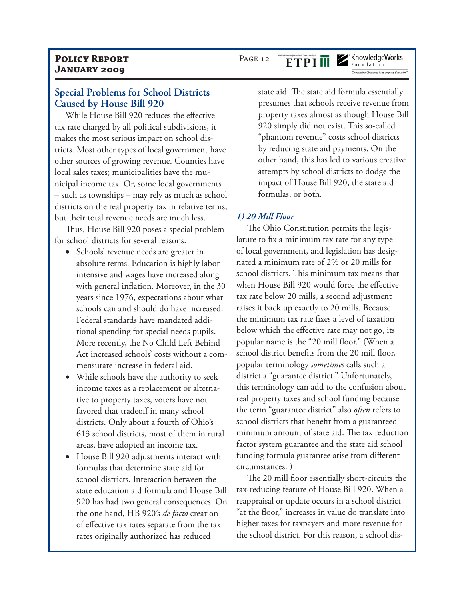#### **Special Problems for School Districts Caused by House Bill 920**

While House Bill 920 reduces the effective tax rate charged by all political subdivisions, it makes the most serious impact on school districts. Most other types of local government have other sources of growing revenue. Counties have local sales taxes; municipalities have the municipal income tax. Or, some local governments – such as townships – may rely as much as school districts on the real property tax in relative terms, but their total revenue needs are much less.

Thus, House Bill 920 poses a special problem for school districts for several reasons.

- Schools' revenue needs are greater in absolute terms. Education is highly labor intensive and wages have increased along with general inflation. Moreover, in the 30 years since 1976, expectations about what schools can and should do have increased. Federal standards have mandated additional spending for special needs pupils. More recently, the No Child Left Behind Act increased schools' costs without a commensurate increase in federal aid.
- While schools have the authority to seek income taxes as a replacement or alternative to property taxes, voters have not favored that tradeoff in many school districts. Only about a fourth of Ohio's 613 school districts, most of them in rural areas, have adopted an income tax.
- House Bill 920 adjustments interact with formulas that determine state aid for school districts. Interaction between the state education aid formula and House Bill 920 has had two general consequences. On the one hand, HB 920's *de facto* creation of effective tax rates separate from the tax rates originally authorized has reduced

state aid. The state aid formula essentially presumes that schools receive revenue from property taxes almost as though House Bill 920 simply did not exist. This so-called "phantom revenue" costs school districts by reducing state aid payments. On the other hand, this has led to various creative attempts by school districts to dodge the impact of House Bill 920, the state aid formulas, or both.

#### *1) 20 Mill Floor*

The Ohio Constitution permits the legislature to fix a minimum tax rate for any type of local government, and legislation has designated a minimum rate of 2% or 20 mills for school districts. This minimum tax means that when House Bill 920 would force the effective tax rate below 20 mills, a second adjustment raises it back up exactly to 20 mills. Because the minimum tax rate fixes a level of taxation below which the effective rate may not go, its popular name is the "20 mill floor." (When a school district benefits from the 20 mill floor, popular terminology *sometimes* calls such a district a "guarantee district." Unfortunately, this terminology can add to the confusion about real property taxes and school funding because the term "guarantee district" also *often* refers to school districts that benefit from a guaranteed minimum amount of state aid. The tax reduction factor system guarantee and the state aid school funding formula guarantee arise from different circumstances. )

The 20 mill floor essentially short-circuits the tax-reducing feature of House Bill 920. When a reappraisal or update occurs in a school district "at the floor," increases in value do translate into higher taxes for taxpayers and more revenue for the school district. For this reason, a school dis-

PAGE 12

**ETPI III** 

## KnowledgeWorks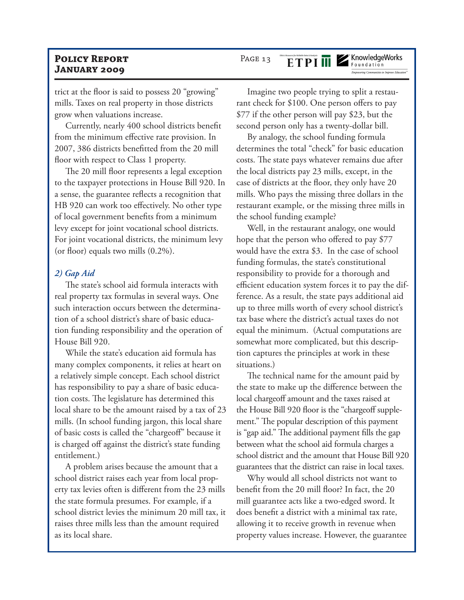trict at the floor is said to possess 20 "growing" mills. Taxes on real property in those districts grow when valuations increase.

Currently, nearly 400 school districts benefit from the minimum effective rate provision. In 2007, 386 districts benefitted from the 20 mill floor with respect to Class 1 property.

The 20 mill floor represents a legal exception to the taxpayer protections in House Bill 920. In a sense, the guarantee reflects a recognition that HB 920 can work too effectively. No other type of local government benefits from a minimum levy except for joint vocational school districts. For joint vocational districts, the minimum levy (or floor) equals two mills (0.2%).

#### *2) Gap Aid*

The state's school aid formula interacts with real property tax formulas in several ways. One such interaction occurs between the determination of a school district's share of basic education funding responsibility and the operation of House Bill 920.

While the state's education aid formula has many complex components, it relies at heart on a relatively simple concept. Each school district has responsibility to pay a share of basic education costs. The legislature has determined this local share to be the amount raised by a tax of 23 mills. (In school funding jargon, this local share of basic costs is called the "chargeoff" because it is charged off against the district's state funding entitlement.)

A problem arises because the amount that a school district raises each year from local property tax levies often is different from the 23 mills the state formula presumes. For example, if a school district levies the minimum 20 mill tax, it raises three mills less than the amount required as its local share.

## PAGE 13

ETPI ME KnowledgeWorks

Imagine two people trying to split a restaurant check for \$100. One person offers to pay \$77 if the other person will pay \$23, but the second person only has a twenty-dollar bill.

By analogy, the school funding formula determines the total "check" for basic education costs. The state pays whatever remains due after the local districts pay 23 mills, except, in the case of districts at the floor, they only have 20 mills. Who pays the missing three dollars in the restaurant example, or the missing three mills in the school funding example?

Well, in the restaurant analogy, one would hope that the person who offered to pay \$77 would have the extra \$3. In the case of school funding formulas, the state's constitutional responsibility to provide for a thorough and efficient education system forces it to pay the difference. As a result, the state pays additional aid up to three mills worth of every school district's tax base where the district's actual taxes do not equal the minimum. (Actual computations are somewhat more complicated, but this description captures the principles at work in these situations.)

The technical name for the amount paid by the state to make up the difference between the local chargeoff amount and the taxes raised at the House Bill 920 floor is the "chargeoff supplement." The popular description of this payment is "gap aid." The additional payment fills the gap between what the school aid formula charges a school district and the amount that House Bill 920 guarantees that the district can raise in local taxes.

Why would all school districts not want to benefit from the 20 mill floor? In fact, the 20 mill guarantee acts like a two-edged sword. It does benefit a district with a minimal tax rate, allowing it to receive growth in revenue when property values increase. However, the guarantee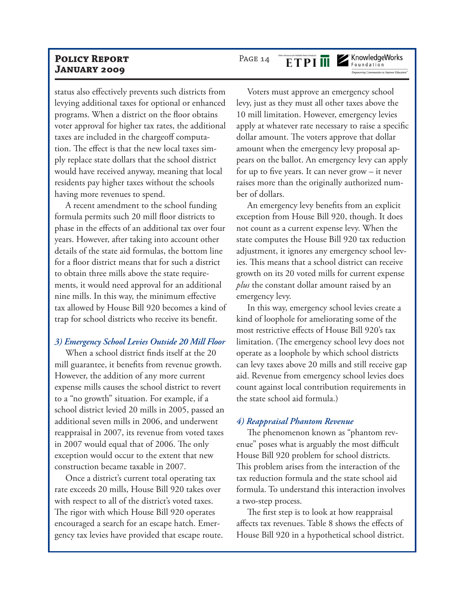status also effectively prevents such districts from levying additional taxes for optional or enhanced programs. When a district on the floor obtains voter approval for higher tax rates, the additional taxes are included in the chargeoff computation. The effect is that the new local taxes simply replace state dollars that the school district would have received anyway, meaning that local residents pay higher taxes without the schools having more revenues to spend.

A recent amendment to the school funding formula permits such 20 mill floor districts to phase in the effects of an additional tax over four years. However, after taking into account other details of the state aid formulas, the bottom line for a floor district means that for such a district to obtain three mills above the state requirements, it would need approval for an additional nine mills. In this way, the minimum effective tax allowed by House Bill 920 becomes a kind of trap for school districts who receive its benefit.

#### *3) Emergency School Levies Outside 20 Mill Floor*

When a school district finds itself at the 20 mill guarantee, it benefits from revenue growth. However, the addition of any more current expense mills causes the school district to revert to a "no growth" situation. For example, if a school district levied 20 mills in 2005, passed an additional seven mills in 2006, and underwent reappraisal in 2007, its revenue from voted taxes in 2007 would equal that of 2006. The only exception would occur to the extent that new construction became taxable in 2007.

Once a district's current total operating tax rate exceeds 20 mills, House Bill 920 takes over with respect to all of the district's voted taxes. The rigor with which House Bill 920 operates encouraged a search for an escape hatch. Emergency tax levies have provided that escape route.

## PAGE 14

KnowledgeWorks

Voters must approve an emergency school levy, just as they must all other taxes above the 10 mill limitation. However, emergency levies apply at whatever rate necessary to raise a specific dollar amount. The voters approve that dollar amount when the emergency levy proposal appears on the ballot. An emergency levy can apply for up to five years. It can never grow – it never raises more than the originally authorized number of dollars.

An emergency levy benefits from an explicit exception from House Bill 920, though. It does not count as a current expense levy. When the state computes the House Bill 920 tax reduction adjustment, it ignores any emergency school levies. This means that a school district can receive growth on its 20 voted mills for current expense *plus* the constant dollar amount raised by an emergency levy.

In this way, emergency school levies create a kind of loophole for ameliorating some of the most restrictive effects of House Bill 920's tax limitation. (The emergency school levy does not operate as a loophole by which school districts can levy taxes above 20 mills and still receive gap aid. Revenue from emergency school levies does count against local contribution requirements in the state school aid formula.)

#### *4) Reappraisal Phantom Revenue*

The phenomenon known as "phantom revenue" poses what is arguably the most difficult House Bill 920 problem for school districts. This problem arises from the interaction of the tax reduction formula and the state school aid formula. To understand this interaction involves a two-step process.

The first step is to look at how reappraisal affects tax revenues. Table 8 shows the effects of House Bill 920 in a hypothetical school district.

### **ETPIM**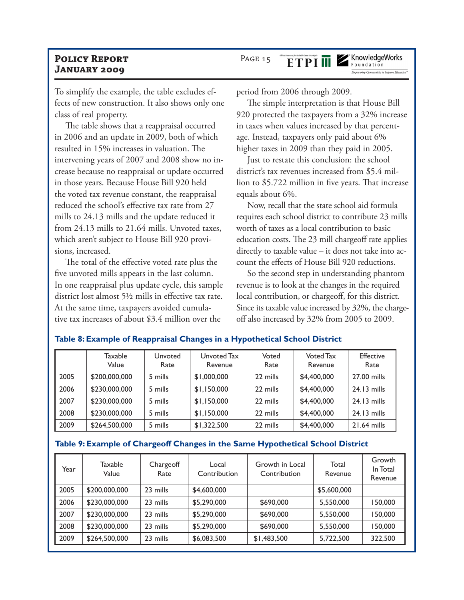To simplify the example, the table excludes effects of new construction. It also shows only one class of real property.

The table shows that a reappraisal occurred in 2006 and an update in 2009, both of which resulted in 15% increases in valuation. The intervening years of 2007 and 2008 show no increase because no reappraisal or update occurred in those years. Because House Bill 920 held the voted tax revenue constant, the reappraisal reduced the school's effective tax rate from 27 mills to 24.13 mills and the update reduced it from 24.13 mills to 21.64 mills. Unvoted taxes, which aren't subject to House Bill 920 provisions, increased.

The total of the effective voted rate plus the five unvoted mills appears in the last column. In one reappraisal plus update cycle, this sample district lost almost 5½ mills in effective tax rate. At the same time, taxpayers avoided cumulative tax increases of about \$3.4 million over the

period from 2006 through 2009.

The simple interpretation is that House Bill 920 protected the taxpayers from a 32% increase in taxes when values increased by that percentage. Instead, taxpayers only paid about 6% higher taxes in 2009 than they paid in 2005.

Just to restate this conclusion: the school district's tax revenues increased from \$5.4 million to \$5.722 million in five years. That increase equals about 6%.

Now, recall that the state school aid formula requires each school district to contribute 23 mills worth of taxes as a local contribution to basic education costs. The 23 mill chargeoff rate applies directly to taxable value – it does not take into account the effects of House Bill 920 reductions.

So the second step in understanding phantom revenue is to look at the changes in the required local contribution, or chargeoff, for this district. Since its taxable value increased by 32%, the chargeoff also increased by 32% from 2005 to 2009.

|      | Taxable<br>Value | Unvoted<br>Rate | Unvoted Tax<br>Revenue | Voted<br>Rate | Voted Tax<br>Revenue | <b>Effective</b><br>Rate |
|------|------------------|-----------------|------------------------|---------------|----------------------|--------------------------|
| 2005 | \$200,000,000    | 5 mills         | \$1,000,000            | 22 mills      | \$4,400,000          | 27.00 mills              |
| 2006 | \$230,000,000    | 5 mills         | \$1,150,000            | 22 mills      | \$4,400,000          | $24.13$ mills            |
| 2007 | \$230,000,000    | 5 mills         | \$1,150,000            | 22 mills      | \$4,400,000          | $24.13$ mills            |
| 2008 | \$230,000,000    | 5 mills         | \$1,150,000            | 22 mills      | \$4,400,000          | $24.13$ mills            |
| 2009 | \$264,500,000    | 5 mills         | \$1,322,500            | 22 mills      | \$4,400,000          | $21.64$ mills            |

#### **Table 8: Example of Reappraisal Changes in a Hypothetical School District**

#### **Table 9: Example of Chargeoff Changes in the Same Hypothetical School District**

| Year | Taxable<br>Value | Chargeoff<br>Rate | Local<br>Contribution | Growth in Local<br>Contribution | Total<br>Revenue | Growth<br>In Total<br>Revenue |
|------|------------------|-------------------|-----------------------|---------------------------------|------------------|-------------------------------|
| 2005 | \$200,000,000    | 23 mills          | \$4,600,000           |                                 | \$5,600,000      |                               |
| 2006 | \$230,000,000    | 23 mills          | \$5,290,000           | \$690,000                       | 5,550,000        | 150,000                       |
| 2007 | \$230,000,000    | 23 mills          | \$5,290,000           | \$690,000                       | 5,550,000        | 150,000                       |
| 2008 | \$230,000,000    | 23 mills          | \$5,290,000           | \$690,000                       | 5,550,000        | 150,000                       |
| 2009 | \$264,500,000    | 23 mills          | \$6,083,500           | \$1,483,500                     | 5,722,500        | 322,500                       |

## PAGE 15

ETPI ME KnowledgeWorks

**Empowering Communities to Improve Educatio**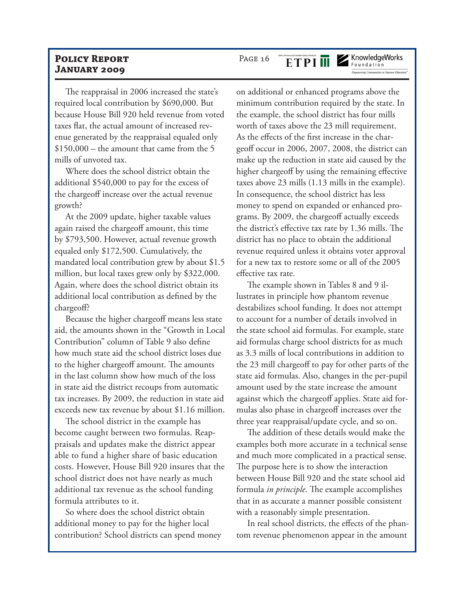The reappraisal in 2006 increased the state's required local contribution by \$690,000. But because House Bill 920 held revenue from voted taxes flat, the actual amount of increased revenue generated by the reappraisal equaled only  $$150,000$  – the amount that came from the 5 mills of unvoted tax.

Where does the school district obtain the additional \$540,000 to pay for the excess of the chargeoff increase over the actual revenue growth?

At the 2009 update, higher taxable values again raised the chargeoff amount, this time by \$793,500. However, actual revenue growth equaled only \$172,500. Cumulatively, the mandated local contribution grew by about \$1.5 million, but local taxes grew only by \$322,000. Again, where does the school district obtain its additional local contribution as defined by the chargeoff?

Because the higher chargeoff means less state aid, the amounts shown in the "Growth in Local Contribution" column of Table 9 also define how much state aid the school district loses due to the higher chargeoff amount. The amounts in the last column show how much of the loss in state aid the district recoups from automatic tax increases. By 2009, the reduction in state aid exceeds new tax revenue by about \$1.16 million.

The school district in the example has become caught between two formulas. Reappraisals and updates make the district appear able to fund a higher share of basic education costs. However, House Bill 920 insures that the school district does not have nearly as much additional tax revenue as the school funding formula attributes to it.

So where does the school district obtain additional money to pay for the higher local contribution? School districts can spend money

on additional or enhanced programs above the minimum contribution required by the state. In the example, the school district has four mills worth of taxes above the 23 mill requirement. As the effects of the first increase in the chargeoff occur in 2006, 2007, 2008, the district can make up the reduction in state aid caused by the higher chargeoff by using the remaining effective taxes above 23 mills (1.13 mills in the example). In consequence, the school district has less money to spend on expanded or enhanced programs. By 2009, the chargeoff actually exceeds the district's effective tax rate by 1.36 mills. The district has no place to obtain the additional revenue required unless it obtains voter approval for a new tax to restore some or all of the 2005 effective tax rate.

The example shown in Tables 8 and 9 illustrates in principle how phantom revenue destabilizes school funding. It does not attempt to account for a number of details involved in the state school aid formulas. For example, state aid formulas charge school districts for as much as 3.3 mills of local contributions in addition to the 23 mill chargeoff to pay for other parts of the state aid formulas. Also, changes in the per-pupil amount used by the state increase the amount against which the chargeoff applies. State aid formulas also phase in chargeoff increases over the three year reappraisal/update cycle, and so on.

The addition of these details would make the examples both more accurate in a technical sense and much more complicated in a practical sense. The purpose here is to show the interaction between House Bill 920 and the state school aid formula *in principle*. The example accomplishes that in as accurate a manner possible consistent with a reasonably simple presentation.

In real school districts, the effects of the phantom revenue phenomenon appear in the amount

#### PAGE 16 **ETPI III**

KnowledgeWorks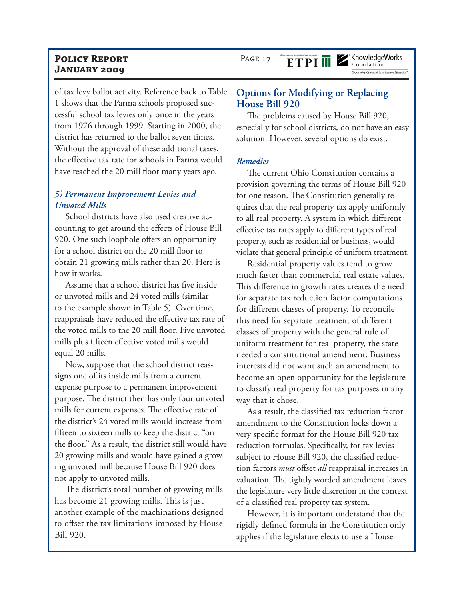PAGE 17

ETPI ME KnowledgeWorks

of tax levy ballot activity. Reference back to Table 1 shows that the Parma schools proposed successful school tax levies only once in the years from 1976 through 1999. Starting in 2000, the district has returned to the ballot seven times. Without the approval of these additional taxes, the effective tax rate for schools in Parma would have reached the 20 mill floor many years ago.

### *5) Permanent Improvement Levies and Unvoted Mills*

School districts have also used creative accounting to get around the effects of House Bill 920. One such loophole offers an opportunity for a school district on the 20 mill floor to obtain 21 growing mills rather than 20. Here is how it works.

Assume that a school district has five inside or unvoted mills and 24 voted mills (similar to the example shown in Table 5). Over time, reappraisals have reduced the effective tax rate of the voted mills to the 20 mill floor. Five unvoted mills plus fifteen effective voted mills would equal 20 mills.

Now, suppose that the school district reassigns one of its inside mills from a current expense purpose to a permanent improvement purpose. The district then has only four unvoted mills for current expenses. The effective rate of the district's 24 voted mills would increase from fifteen to sixteen mills to keep the district "on the floor." As a result, the district still would have 20 growing mills and would have gained a growing unvoted mill because House Bill 920 does not apply to unvoted mills.

The district's total number of growing mills has become 21 growing mills. This is just another example of the machinations designed to offset the tax limitations imposed by House Bill 920.

## **Options for Modifying or Replacing House Bill 920**

The problems caused by House Bill 920, especially for school districts, do not have an easy solution. However, several options do exist.

#### *Remedies*

The current Ohio Constitution contains a provision governing the terms of House Bill 920 for one reason. The Constitution generally requires that the real property tax apply uniformly to all real property. A system in which different effective tax rates apply to different types of real property, such as residential or business, would violate that general principle of uniform treatment.

Residential property values tend to grow much faster than commercial real estate values. This difference in growth rates creates the need for separate tax reduction factor computations for different classes of property. To reconcile this need for separate treatment of different classes of property with the general rule of uniform treatment for real property, the state needed a constitutional amendment. Business interests did not want such an amendment to become an open opportunity for the legislature to classify real property for tax purposes in any way that it chose.

As a result, the classified tax reduction factor amendment to the Constitution locks down a very specific format for the House Bill 920 tax reduction formulas. Specifically, for tax levies subject to House Bill 920, the classified reduction factors *must* offset *all* reappraisal increases in valuation. The tightly worded amendment leaves the legislature very little discretion in the context of a classified real property tax system.

However, it is important understand that the rigidly defined formula in the Constitution only applies if the legislature elects to use a House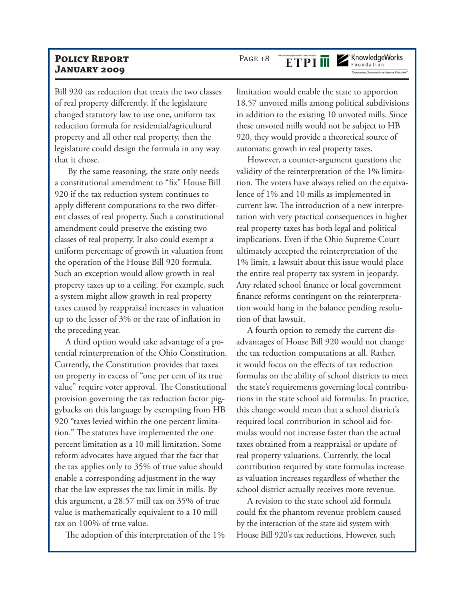Bill 920 tax reduction that treats the two classes of real property differently. If the legislature changed statutory law to use one, uniform tax reduction formula for residential/agricultural property and all other real property, then the legislature could design the formula in any way that it chose.

 By the same reasoning, the state only needs a constitutional amendment to "fix" House Bill 920 if the tax reduction system continues to apply different computations to the two different classes of real property. Such a constitutional amendment could preserve the existing two classes of real property. It also could exempt a uniform percentage of growth in valuation from the operation of the House Bill 920 formula. Such an exception would allow growth in real property taxes up to a ceiling. For example, such a system might allow growth in real property taxes caused by reappraisal increases in valuation up to the lesser of 3% or the rate of inflation in the preceding year.

A third option would take advantage of a potential reinterpretation of the Ohio Constitution. Currently, the Constitution provides that taxes on property in excess of "one per cent of its true value" require voter approval. The Constitutional provision governing the tax reduction factor piggybacks on this language by exempting from HB 920 "taxes levied within the one percent limitation." The statutes have implemented the one percent limitation as a 10 mill limitation. Some reform advocates have argued that the fact that the tax applies only to 35% of true value should enable a corresponding adjustment in the way that the law expresses the tax limit in mills. By this argument, a 28.57 mill tax on 35% of true value is mathematically equivalent to a 10 mill tax on 100% of true value.

The adoption of this interpretation of the 1%

## PAGE 18

KnowledgeWorks

limitation would enable the state to apportion 18.57 unvoted mills among political subdivisions in addition to the existing 10 unvoted mills. Since these unvoted mills would not be subject to HB 920, they would provide a theoretical source of automatic growth in real property taxes.

However, a counter-argument questions the validity of the reinterpretation of the 1% limitation. The voters have always relied on the equivalence of 1% and 10 mills as implemented in current law. The introduction of a new interpretation with very practical consequences in higher real property taxes has both legal and political implications. Even if the Ohio Supreme Court ultimately accepted the reinterpretation of the 1% limit, a lawsuit about this issue would place the entire real property tax system in jeopardy. Any related school finance or local government finance reforms contingent on the reinterpretation would hang in the balance pending resolution of that lawsuit.

A fourth option to remedy the current disadvantages of House Bill 920 would not change the tax reduction computations at all. Rather, it would focus on the effects of tax reduction formulas on the ability of school districts to meet the state's requirements governing local contributions in the state school aid formulas. In practice, this change would mean that a school district's required local contribution in school aid formulas would not increase faster than the actual taxes obtained from a reappraisal or update of real property valuations. Currently, the local contribution required by state formulas increase as valuation increases regardless of whether the school district actually receives more revenue.

A revision to the state school aid formula could fix the phantom revenue problem caused by the interaction of the state aid system with House Bill 920's tax reductions. However, such

**ETPIM**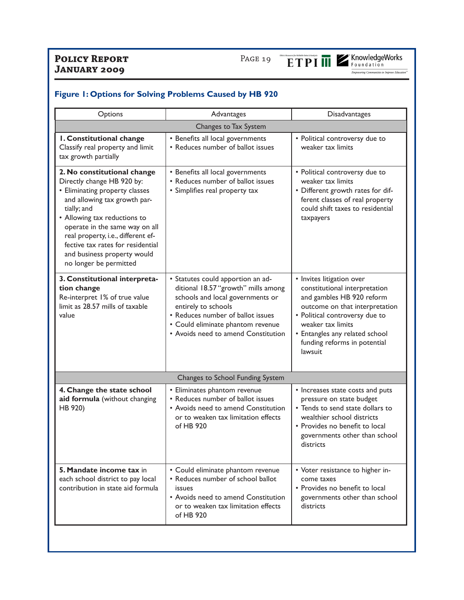

## **Figure 1: Options for Solving Problems Caused by HB 920**

| Options                                                                                                                                                                                                                                                                                                                                          | Advantages                                                                                                                                                                                                                                           | Disadvantages                                                                                                                                                                                                                                                 |  |
|--------------------------------------------------------------------------------------------------------------------------------------------------------------------------------------------------------------------------------------------------------------------------------------------------------------------------------------------------|------------------------------------------------------------------------------------------------------------------------------------------------------------------------------------------------------------------------------------------------------|---------------------------------------------------------------------------------------------------------------------------------------------------------------------------------------------------------------------------------------------------------------|--|
|                                                                                                                                                                                                                                                                                                                                                  | Changes to Tax System                                                                                                                                                                                                                                |                                                                                                                                                                                                                                                               |  |
| I. Constitutional change<br>Classify real property and limit<br>tax growth partially                                                                                                                                                                                                                                                             | • Benefits all local governments<br>• Reduces number of ballot issues                                                                                                                                                                                | • Political controversy due to<br>weaker tax limits                                                                                                                                                                                                           |  |
| 2. No constitutional change<br>Directly change HB 920 by:<br>• Eliminating property classes<br>and allowing tax growth par-<br>tially; and<br>• Allowing tax reductions to<br>operate in the same way on all<br>real property, i.e., different ef-<br>fective tax rates for residential<br>and business property would<br>no longer be permitted | • Benefits all local governments<br>• Reduces number of ballot issues<br>• Simplifies real property tax                                                                                                                                              | • Political controversy due to<br>weaker tax limits<br>• Different growth rates for dif-<br>ferent classes of real property<br>could shift taxes to residential<br>taxpayers                                                                                  |  |
| 3. Constitutional interpreta-<br>tion change<br>Re-interpret 1% of true value<br>limit as 28.57 mills of taxable<br>value                                                                                                                                                                                                                        | • Statutes could apportion an ad-<br>ditional 18.57 "growth" mills among<br>schools and local governments or<br>entirely to schools<br>• Reduces number of ballot issues<br>• Could eliminate phantom revenue<br>• Avoids need to amend Constitution | • Invites litigation over<br>constitutional interpretation<br>and gambles HB 920 reform<br>outcome on that interpretation<br>• Political controversy due to<br>weaker tax limits<br>• Entangles any related school<br>funding reforms in potential<br>lawsuit |  |
|                                                                                                                                                                                                                                                                                                                                                  | Changes to School Funding System                                                                                                                                                                                                                     |                                                                                                                                                                                                                                                               |  |
| 4. Change the state school<br>aid formula (without changing<br>HB 920)                                                                                                                                                                                                                                                                           | • Eliminates phantom revenue<br>• Reduces number of ballot issues<br>• Avoids need to amend Constitution<br>or to weaken tax limitation effects<br>of HB 920                                                                                         | • Increases state costs and puts<br>pressure on state budget<br>• Tends to send state dollars to<br>wealthier school districts<br>• Provides no benefit to local<br>governments other than school<br>districts                                                |  |
| 5. Mandate income tax in<br>each school district to pay local<br>contribution in state aid formula                                                                                                                                                                                                                                               | • Could eliminate phantom revenue<br>• Reduces number of school ballot<br>issues<br>• Avoids need to amend Constitution<br>or to weaken tax limitation effects<br>of HB 920                                                                          | • Voter resistance to higher in-<br>come taxes<br>• Provides no benefit to local<br>governments other than school<br>districts                                                                                                                                |  |